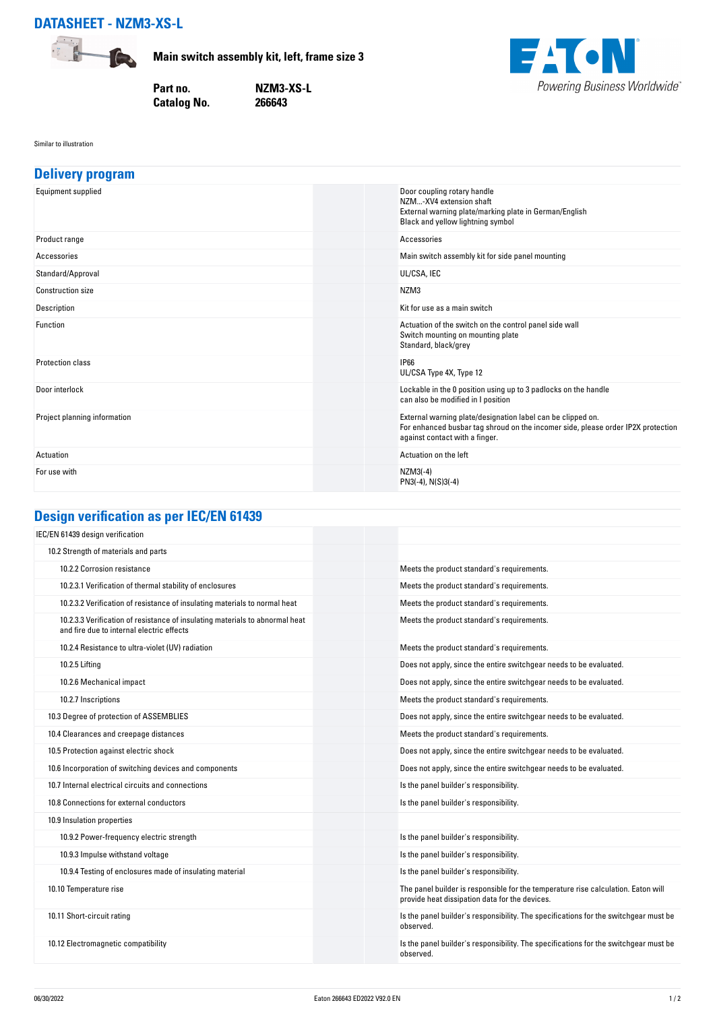

**Main switch assembly kit, left, frame size 3**

**Catalog No.** 

**Part no. NZM3-XS-L**



Similar to illustration

| <b>Delivery program</b>      |                                                                                                                                                                                   |
|------------------------------|-----------------------------------------------------------------------------------------------------------------------------------------------------------------------------------|
| Equipment supplied           | Door coupling rotary handle<br>NZM-XV4 extension shaft<br>External warning plate/marking plate in German/English<br>Black and yellow lightning symbol                             |
| Product range                | Accessories                                                                                                                                                                       |
| Accessories                  | Main switch assembly kit for side panel mounting                                                                                                                                  |
| Standard/Approval            | UL/CSA, IEC                                                                                                                                                                       |
| <b>Construction size</b>     | NZM3                                                                                                                                                                              |
| Description                  | Kit for use as a main switch                                                                                                                                                      |
| Function                     | Actuation of the switch on the control panel side wall<br>Switch mounting on mounting plate<br>Standard, black/grey                                                               |
| <b>Protection class</b>      | <b>IP66</b><br>UL/CSA Type 4X, Type 12                                                                                                                                            |
| Door interlock               | Lockable in the 0 position using up to 3 padlocks on the handle<br>can also be modified in I position                                                                             |
| Project planning information | External warning plate/designation label can be clipped on.<br>For enhanced busbar tag shroud on the incomer side, please order IP2X protection<br>against contact with a finger. |
| Actuation                    | Actuation on the left                                                                                                                                                             |
| For use with                 | $NZM3(-4)$<br>PN3(-4), N(S)3(-4)                                                                                                                                                  |

# **Design verification as per IEC/EN 61439**

| IEC/EN 61439 design verification                                                                                          |                                                                                                                                     |
|---------------------------------------------------------------------------------------------------------------------------|-------------------------------------------------------------------------------------------------------------------------------------|
| 10.2 Strength of materials and parts                                                                                      |                                                                                                                                     |
| 10.2.2 Corrosion resistance                                                                                               | Meets the product standard's requirements.                                                                                          |
| 10.2.3.1 Verification of thermal stability of enclosures                                                                  | Meets the product standard's requirements.                                                                                          |
| 10.2.3.2 Verification of resistance of insulating materials to normal heat                                                | Meets the product standard's requirements.                                                                                          |
| 10.2.3.3 Verification of resistance of insulating materials to abnormal heat<br>and fire due to internal electric effects | Meets the product standard's requirements.                                                                                          |
| 10.2.4 Resistance to ultra-violet (UV) radiation                                                                          | Meets the product standard's requirements.                                                                                          |
| 10.2.5 Lifting                                                                                                            | Does not apply, since the entire switchgear needs to be evaluated.                                                                  |
| 10.2.6 Mechanical impact                                                                                                  | Does not apply, since the entire switchgear needs to be evaluated.                                                                  |
| 10.2.7 Inscriptions                                                                                                       | Meets the product standard's requirements.                                                                                          |
| 10.3 Degree of protection of ASSEMBLIES                                                                                   | Does not apply, since the entire switchgear needs to be evaluated.                                                                  |
| 10.4 Clearances and creepage distances                                                                                    | Meets the product standard's requirements.                                                                                          |
| 10.5 Protection against electric shock                                                                                    | Does not apply, since the entire switchgear needs to be evaluated.                                                                  |
| 10.6 Incorporation of switching devices and components                                                                    | Does not apply, since the entire switchgear needs to be evaluated.                                                                  |
| 10.7 Internal electrical circuits and connections                                                                         | Is the panel builder's responsibility.                                                                                              |
| 10.8 Connections for external conductors                                                                                  | Is the panel builder's responsibility.                                                                                              |
| 10.9 Insulation properties                                                                                                |                                                                                                                                     |
| 10.9.2 Power-frequency electric strength                                                                                  | Is the panel builder's responsibility.                                                                                              |
| 10.9.3 Impulse withstand voltage                                                                                          | Is the panel builder's responsibility.                                                                                              |
| 10.9.4 Testing of enclosures made of insulating material                                                                  | Is the panel builder's responsibility.                                                                                              |
| 10.10 Temperature rise                                                                                                    | The panel builder is responsible for the temperature rise calculation. Eaton will<br>provide heat dissipation data for the devices. |
| 10.11 Short-circuit rating                                                                                                | Is the panel builder's responsibility. The specifications for the switchgear must be<br>observed.                                   |
| 10.12 Electromagnetic compatibility                                                                                       | Is the panel builder's responsibility. The specifications for the switchgear must be<br>observed.                                   |